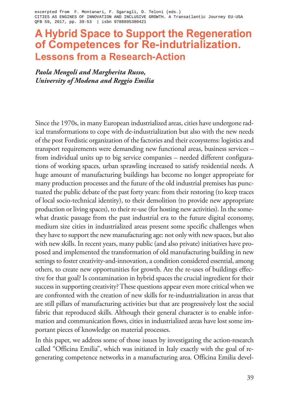excerpted from F. Montanari, F. Sgaragli, D. Teloni (eds.) CITIES AS ENGINES OF INNOVATION AND INCLUSIVE GROWTH. A Transatlantic Journey EU-USA QFB 59, 2017, pp. 39-53 | isbn 9788895380421

# **A Hybrid Space to Support the Regeneration of Competences for Re-indutrialization. Lessons from a Research-Action**

*Paola Mengoli and Margherita Russo, University of Modena and Reggio Emilia*

Since the 1970s, in many European industrialized areas, cities have undergone radical transformations to cope with de-industrialization but also with the new needs of the post Fordistic organization of the factories and their ecosystems: logistics and transport requirements were demanding new functional areas, business services – from individual units up to big service companies – needed different configurations of working spaces, urban sprawling increased to satisfy residential needs. A huge amount of manufacturing buildings has become no longer appropriate for many production processes and the future of the old industrial premises has punctuated the public debate of the past forty years: from their restoring (to keep traces of local socio-technical identity), to their demolition (to provide new appropriate production or living spaces), to their re-use (for hosting new activities). In the somewhat drastic passage from the past industrial era to the future digital economy, medium size cities in industrialized areas present some specific challenges when they have to support the new manufacturing age: not only with new spaces, but also with new skills. In recent years, many public (and also private) initiatives have proposed and implemented the transformation of old manufacturing building in new settings to foster creativity-and-innovation, a condition considered essential, among others, to create new opportunities for growth. Are the re-uses of buildings effective for that goal? Is contamination in hybrid spaces the crucial ingredient for their success in supporting creativity? These questions appear even more critical when we are confronted with the creation of new skills for re-industrialization in areas that are still pillars of manufacturing activities but that are progressively lost the social fabric that reproduced skills. Although their general character is to enable information and communication flows, cities in industrialized areas have lost some important pieces of knowledge on material processes.

In this paper, we address some of those issues by investigating the action-research called "Officina Emilia", which was initiated in Italy exactly with the goal of regenerating competence networks in a manufacturing area. Officina Emilia devel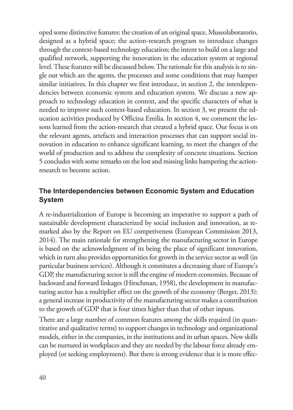oped some distinctive features: the creation of an original space, Museolaboratorio, designed as a hybrid space; the action-research program to introduce changes through the context-based technology education; the intent to build on a large and qualified network, supporting the innovation in the education system at regional level. These features will be discussed below. The rationale for this analysis is to single out which are the agents, the processes and some conditions that may hamper similar initiatives. In this chapter we first introduce, in section 2, the interdependencies between economic system and education system. We discuss a new approach to technology education in context, and the specific characters of what is needed to improve such context-based education. In section 3, we present the education activities produced by Officina Emilia. In section 4, we comment the lessons learned from the action-research that created a hybrid space. Our focus is on the relevant agents, artefacts and interaction processes that can support social innovation in education to enhance significant learning, to meet the changes of the world of production and to address the complexity of concrete situations. Section 5 concludes with some remarks on the lost and missing links hampering the actionresearch to become action.

## **The Interdependencies between Economic System and Education System**

A re-industrialization of Europe is becoming an imperative to support a path of sustainable development characterized by social inclusion and innovation, as remarked also by the Report on EU competiveness (European Commission 2013, 2014). The main rationale for strengthening the manufacturing sector in Europe is based on the acknowledgment of its being the place of significant innovation, which in turn also provides opportunities for growth in the service sector as well (in particular business services). Although it constitutes a decreasing share of Europe's GDP, the manufacturing sector is still the engine of modern economies. Because of backward and forward linkages (Hirschman, 1958), the development in manufacturing sector has a multiplier effect on the growth of the economy (Berger, 2013): a general increase in productivity of the manufacturing sector makes a contribution to the growth of GDP that is four times higher than that of other inputs.

There are a large number of common features among the skills required (in quantitative and qualitative terms) to support changes in technology and organizational models, either in the companies, in the institutions and in urban spaces. New skills can be nurtured in workplaces and they are needed by the labour force already employed (or seeking employment). But there is strong evidence that it is more effec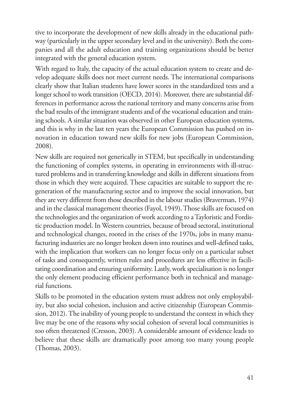tive to incorporate the development of new skills already in the educational pathway (particularly in the upper secondary level and in the university). Both the companies and all the adult education and training organizations should be better integrated with the general education system.

With regard to Italy, the capacity of the actual education system to create and develop adequate skills does not meet current needs. The international comparisons clearly show that Italian students have lower scores in the standardized tests and a longer school to work transition (OECD, 2014). Moreover, there are substantial differences in performance across the national territory and many concerns arise from the bad results of the immigrant students and of the vocational education and training schools. A similar situation was observed in other European education systems, and this is why in the last ten years the European Commission has pushed on innovation in education toward new skills for new jobs (European Commission, 2008).

New skills are required not generically in STEM, but specifically in understanding the functioning of complex systems, in operating in environments with ill-structured problems and in transferring knowledge and skills in different situations from those in which they were acquired. These capacities are suitable to support the regeneration of the manufacturing sector and to improve the social innovation, but they are very different from those described in the labour studies (Braverman, 1974) and in the classical management theories (Fayol, 1949). Those skills are focused on the technologies and the organization of work according to a Tayloristic and Fordistic production model. In Western countries, because of broad sectoral, institutional and technological changes, rooted in the crises of the 1970s, jobs in many manufacturing industries are no longer broken down into routines and well-defined tasks, with the implication that workers can no longer focus only on a particular subset of tasks and consequently, written rules and procedures are less effective in facilitating coordination and ensuring uniformity. Lastly, work specialisation is no longer the only element producing efficient performance both in technical and managerial functions.

Skills to be promoted in the education system must address not only employability, but also social cohesion, inclusion and active citizenship (European Commission, 2012). The inability of young people to understand the context in which they live may be one of the reasons why social cohesion of several local communities is too often threatened (Cresson, 2003). A considerable amount of evidence leads to believe that these skills are dramatically poor among too many young people (Thomas, 2003).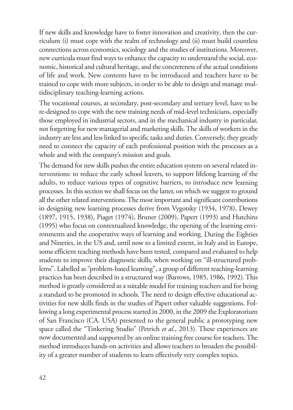If new skills and knowledge have to foster innovation and creativity, then the curriculum (i) must cope with the realm of technology and (ii) must build countless connections across economics, sociology and the studies of institutions. Moreover, new curricula must find ways to enhance the capacity to understand the social, economic, historical and cultural heritage, and the concreteness of the actual conditions of life and work. New contents have to be introduced and teachers have to be trained to cope with more subjects, in order to be able to design and manage multidisciplinary teaching-learning actions.

The vocational courses, at secondary, post-secondary and tertiary level, have to be re-designed to cope with the new training needs of mid-level technicians, especially those employed in industrial sectors, and in the mechanical industry in particular, not forgetting for new managerial and marketing skills. The skills of workers in the industry are less and less linked to specific tasks and duties. Conversely, they greatly need to connect the capacity of each professional position with the processes as a whole and with the company's mission and goals.

The demand for new skills pushes the entire education system on several related interventions: to reduce the early school leavers, to support lifelong learning of the adults, to reduce various types of cognitive barriers, to introduce new learning processes. In this section we shall focus on the latter, on which we suggest to ground all the other related interventions. The most important and significant contributions in designing new learning processes derive from Vygotsky (1934, 1978), Dewey (1897, 1915, 1938), Piaget (1974), Bruner (2009), Papert (1993) and Hutchins (1995) who focus on contextualized knowledge, the opening of the learning environments and the cooperative ways of learning and working. During the Eighties and Nineties, in the US and, until now to a limited extent, in Italy and in Europe, some efficient teaching methods have been tested, compared and evaluated to help students to improve their diagnostic skills, when working on "ill-structured problems". Labelled as "problem-based learning", a group of different teaching-learning practices has been described in a structured way (Barrows, 1985, 1986, 1992). This method is greatly considered as a suitable model for training teachers and for being a standard to be promoted in schools. The need to design effective educational activities for new skills finds in the studies of Papert other valuable suggestions. Following a long experimental process started in 2000, in the 2009 the Exploratorium of San Francisco (CA. USA) presented to the general public a prototyping new space called the "Tinkering Studio" (Petrich *et al.*, 2013). These experiences are now documented and supported by an online training free course for teachers. The method introduces hands-on activities and allows teachers to broaden the possibility of a greater number of students to learn effectively very complex topics.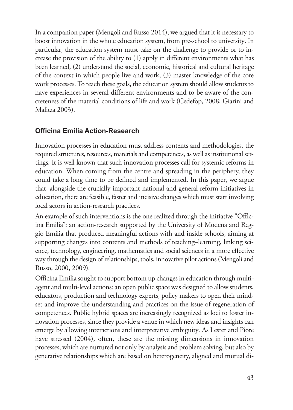In a companion paper (Mengoli and Russo 2014), we argued that it is necessary to boost innovation in the whole education system, from pre-school to university. In particular, the education system must take on the challenge to provide or to increase the provision of the ability to (1) apply in different environments what has been learned, (2) understand the social, economic, historical and cultural heritage of the context in which people live and work, (3) master knowledge of the core work processes. To reach these goals, the education system should allow students to have experiences in several different environments and to be aware of the concreteness of the material conditions of life and work (Cedefop, 2008; Giarini and Malitza 2003).

# **Officina Emilia Action-Research**

Innovation processes in education must address contents and methodologies, the required structures, resources, materials and competences, as well as institutional settings. It is well known that such innovation processes call for systemic reforms in education. When coming from the centre and spreading in the periphery, they could take a long time to be defined and implemented. In this paper, we argue that, alongside the crucially important national and general reform initiatives in education, there are feasible, faster and incisive changes which must start involving local actors in action-research practices.

An example of such interventions is the one realized through the initiative "Officina Emilia": an action-research supported by the University of Modena and Reggio Emilia that produced meaningful actions with and inside schools, aiming at supporting changes into contents and methods of teaching–learning, linking science, technology, engineering, mathematics and social sciences in a more effective way through the design of relationships, tools, innovative pilot actions (Mengoli and Russo, 2000, 2009).

Officina Emilia sought to support bottom up changes in education through multiagent and multi-level actions: an open public space was designed to allow students, educators, production and technology experts, policy makers to open their mindset and improve the understanding and practices on the issue of regeneration of competences. Public hybrid spaces are increasingly recognized as loci to foster innovation processes, since they provide a venue in which new ideas and insights can emerge by allowing interactions and interpretative ambiguity. As Lester and Piore have stressed (2004), often, these are the missing dimensions in innovation processes, which are nurtured not only by analysis and problem solving, but also by generative relationships which are based on heterogeneity, aligned and mutual di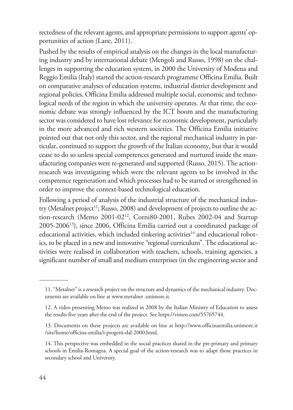rectedness of the relevant agents, and appropriate permissions to support agents' opportunities of action (Lane, 2011).

Pushed by the results of empirical analysis on the changes in the local manufacturing industry and by international debate (Mengoli and Russo, 1998) on the challenges in supporting the education system, in 2000 the University of Modena and Reggio Emilia (Italy) started the action-research programme Officina Emilia. Built on comparative analyses of education systems, industrial district development and regional policies, Officina Emilia addressed multiple social, economic and technological needs of the region in which the university operates. At that time, the economic debate was strongly influenced by the ICT boom and the manufacturing sector was considered to have lost relevance for economic development, particularly in the more advanced and rich western societies. The Officina Emilia initiative pointed out that not only this sector, and the regional mechanical industry in particular, continued to support the growth of the Italian economy, but that it would cease to do so unless special competences generated and nurtured inside the manufacturing companies were re-generated and supported (Russo, 2015). The actionresearch was investigating which were the relevant agents to be involved in the competence regeneration and which processes had to be started or strengthened in order to improve the context-based technological education.

Following a period of analysis of the industrial structure of the mechanical industry (Metalnet project<sup>11</sup>; Russo, 2008) and development of projects to outline the action-research (Memo 2001-02<sup>12</sup>, Corni80-2001, Rubes 2002-04 and Startup 2005-200613), since 2006, Officina Emilia carried out a coordinated package of educational activities, which included tinkering activities<sup>14</sup> and educational robotics, to be placed in a new and innovative "regional curriculum". The educational activities were realised in collaboration with teachers, schools, training agencies, a significant number of small and medium enterprises (in the engineering sector and

<sup>11. &</sup>quot;Metalnet" is a research project on the structure and dynamics of the mechanical industry. Documents are available on line at www.metalnet .unimore.it.

<sup>12.</sup> A video presenting Memo was realized in 2008 by the Italian Ministry of Education to assess the results five years after the end of the project. See https://vimeo.com/55765744.

<sup>13.</sup> Documents on these projects are available on line at http://www.officinaemilia.unimore.it /site/home/officina-emilia/i-progetti-dal-2000.html.

<sup>14.</sup> This perspective was embedded in the social practices shared in the pre-primary and primary schools in Emilia-Romagna. A special goal of the action-research was to adapt those practices in secondary school and University.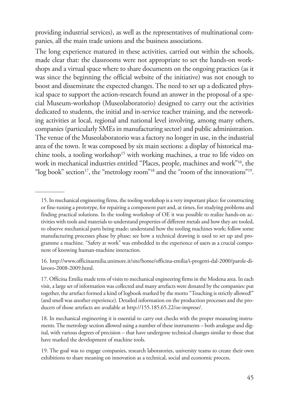providing industrial services), as well as the representatives of multinational companies, all the main trade unions and the business associations.

The long experience matured in these activities, carried out within the schools, made clear that: the classrooms were not appropriate to set the hands-on workshops and a virtual space where to share documents on the ongoing practices (as it was since the beginning the official website of the initiative) was not enough to boost and disseminate the expected changes. The need to set up a dedicated physical space to support the action-research found an answer in the proposal of a special Museum-workshop (Museolaboratorio) designed to carry out the activities dedicated to students, the initial and in-service teacher training, and the networking activities at local, regional and national level involving, among many others, companies (particularly SMEs in manufacturing sector) and public administration. The venue of the Museolaboratorio was a factory no longer in use, in the industrial area of the town. It was composed by six main sections: a display of historical machine tools, a tooling workshop<sup>15</sup> with working machines, a true to life video on work in mechanical industries entitled "Places, people, machines and work"16, the "log book" section<sup>17</sup>, the "metrology room"<sup>18</sup> and the "room of the innovations"<sup>19</sup>.

<sup>15.</sup> In mechanical engineering firms, the tooling workshop is a very important place: for constructing or fine-tuning a prototype, for repairing a component part and, at times, for studying problems and finding practical solutions. In the tooling workshop of OE it was possible to realize hands-on activities with tools and materials to understand properties of different metals and how they are tooled, to observe mechanical parts being made; understand how the tooling machines work; follow some manufacturing processes phase by phase; see how a technical drawing is used to set up and programme a machine. "Safety at work" was embedded in the experience of users as a crucial component of knowing human-machine interaction.

<sup>16.</sup> http://www.officinaemilia.unimore.it/site/home/officina-emilia/i-progetti-dal-2000/parole-dilavoro-2008-2009.html.

<sup>17.</sup> Officina Emilia made tens of visits to mechanical engineering firms in the Modena area. In each visit, a large set of information was collected and many artefacts were donated by the companies: put together, the artefact formed a kind of logbook marked by the motto "Touching is strictly allowed!" (and smell was another experience). Detailed information on the production processes and the producers of those artefacts are available at http://155.185.65.22/oe-imprese/.

<sup>18.</sup> In mechanical engineering it is essential to carry out checks with the proper measuring instruments. The metrology section allowed using a number of these instruments – both analogue and digital, with various degrees of precision – that have undergone technical changes similar to those that have marked the development of machine tools.

<sup>19.</sup> The goal was to engage companies, research laboratories, university teams to create their own exhibitions to share meaning on innovation as a technical, social and economic process.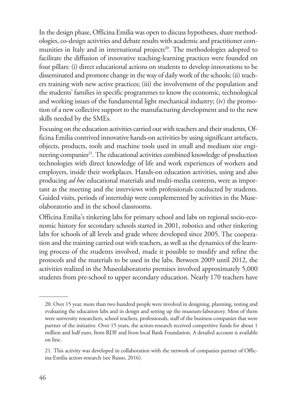In the design phase, Officina Emilia was open to discuss hypotheses, share methodologies, co-design activities and debate results with academic and practitioner communities in Italy and in international projects<sup>20</sup>. The methodologies adopted to facilitate the diffusion of innovative teaching-learning practices were founded on four pillars: (i) direct educational actions on students to develop innovations to be disseminated and promote change in the way of daily work of the schools; (ii) teachers training with new active practices; (iii) the involvement of the population and the students' families in specific programmes to know the economic, technological and working issues of the fundamental light mechanical industry; (iv) the promotion of a new collective support to the manufacturing development and to the new skills needed by the SMEs.

Focusing on the education activities carried out with teachers and their students, Officina Emilia contrived innovative hands-on activities by using significant artefacts, objects, products, tools and machine tools used in small and medium size engineering companies<sup>21</sup>. The educational activities combined knowledge of production technologies with direct knowledge of life and work experiences of workers and employers, inside their workplaces. Hands-on education activities, using and also producing *ad hoc* educational materials and multi-media contents, were as important as the meeting and the interviews with professionals conducted by students. Guided visits, periods of internship were complemented by activities in the Museolaboratorio and in the school classrooms.

Officina Emilia's tinkering labs for primary school and labs on regional socio-economic history for secondary schools started in 2001, robotics and other tinkering labs for schools of all levels and grade where developed since 2005. The cooperation and the training carried out with teachers, as well as the dynamics of the learning process of the students involved, made it possible to modify and refine the protocols and the materials to be used in the labs. Between 2009 until 2012, the activities realized in the Museolaboratorio premises involved approximately 5,000 students from pre-school to upper secondary education. Nearly 170 teachers have

<sup>20.</sup> Over 15 year, more than two hundred people were involved in designing, planning, testing and evaluating the education labs and in design and setting up the museum-laboratory. Most of them were university researchers, school teachers, professionals, staff of the business companies that were partner of the initiative. Over 15 years, the action-research received competitive funds for about 1 million and half euro, from RDF and from local Bank Foundation. A detailed account is available on line.

<sup>21.</sup> This activity was developed in collaboration with the network of companies partner of Officina Emilia action-research (see Russo, 2016).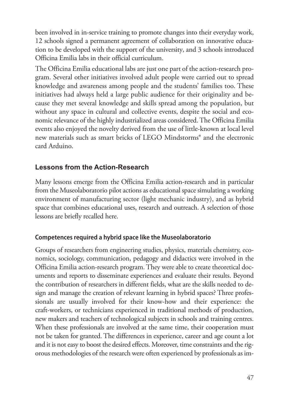been involved in in-service training to promote changes into their everyday work, 12 schools signed a permanent agreement of collaboration on innovative education to be developed with the support of the university, and 3 schools introduced Officina Emilia labs in their official curriculum.

The Officina Emilia educational labs are just one part of the action-research program. Several other initiatives involved adult people were carried out to spread knowledge and awareness among people and the students' families too. These initiatives had always held a large public audience for their originality and because they met several knowledge and skills spread among the population, but without any space in cultural and collective events, despite the social and economic relevance of the highly industrialized areas considered. The Officina Emilia events also enjoyed the novelty derived from the use of little-known at local level new materials such as smart bricks of LEGO Mindstorms® and the electronic card Arduino.

### **Lessons from the Action-Research**

Many lessons emerge from the Officina Emilia action-research and in particular from the Museolaboratorio pilot actions as educational space simulating a working environment of manufacturing sector (light mechanic industry), and as hybrid space that combines educational uses, research and outreach. A selection of those lessons are briefly recalled here.

#### **Competences required a hybrid space like the Museolaboratorio**

Groups of researchers from engineering studies, physics, materials chemistry, economics, sociology, communication, pedagogy and didactics were involved in the Officina Emilia action-research program. They were able to create theoretical documents and reports to disseminate experiences and evaluate their results. Beyond the contribution of researchers in different fields, what are the skills needed to design and manage the creation of relevant learning in hybrid spaces? Three professionals are usually involved for their know-how and their experience: the craft-workers, or technicians experienced in traditional methods of production, new makers and teachers of technological subjects in schools and training centres. When these professionals are involved at the same time, their cooperation must not be taken for granted. The differences in experience, career and age count a lot and it is not easy to boost the desired effects. Moreover, time constraints and the rigorous methodologies of the research were often experienced by professionals as im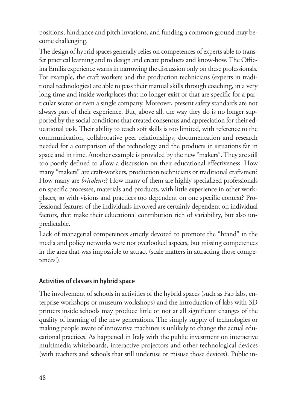positions, hindrance and pitch invasions, and funding a common ground may become challenging.

The design of hybrid spaces generally relies on competences of experts able to transfer practical learning and to design and create products and know-how. The Officina Emilia experience warns in narrowing the discussion only on these professionals. For example, the craft workers and the production technicians (experts in traditional technologies) are able to pass their manual skills through coaching, in a very long time and inside workplaces that no longer exist or that are specific for a particular sector or even a single company. Moreover, present safety standards are not always part of their experience. But, above all, the way they do is no longer supported by the social conditions that created consensus and appreciation for their educational task. Their ability to teach soft skills is too limited, with reference to the communication, collaborative peer relationships, documentation and research needed for a comparison of the technology and the products in situations far in space and in time. Another example is provided by the new "makers". They are still too poorly defined to allow a discussion on their educational effectiveness. How many "makers" are craft-workers, production technicians or traditional craftsmen? How many are *bricoleurs*? How many of them are highly specialized professionals on specific processes, materials and products, with little experience in other workplaces, so with visions and practices too dependent on one specific context? Professional features of the individuals involved are certainly dependent on individual factors, that make their educational contribution rich of variability, but also unpredictable.

Lack of managerial competences strictly devoted to promote the "brand" in the media and policy networks were not overlooked aspects, but missing competences in the area that was impossible to attract (scale matters in attracting those competences!).

### **Activities of classes in hybrid space**

The involvement of schools in activities of the hybrid spaces (such as Fab labs, enterprise workshops or museum workshops) and the introduction of labs with 3D printers inside schools may produce little or not at all significant changes of the quality of learning of the new generations. The simply supply of technologies or making people aware of innovative machines is unlikely to change the actual educational practices. As happened in Italy with the public investment on interactive multimedia whiteboards, interactive projectors and other technological devices (with teachers and schools that still underuse or misuse those devices). Public in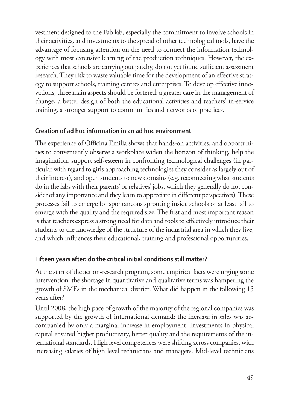vestment designed to the Fab lab, especially the commitment to involve schools in their activities, and investments to the spread of other technological tools, have the advantage of focusing attention on the need to connect the information technology with most extensive learning of the production techniques. However, the experiences that schools are carrying out patchy, do not yet found sufficient assessment research. They risk to waste valuable time for the development of an effective strategy to support schools, training centres and enterprises. To develop effective innovations, three main aspects should be fostered: a greater care in the management of change, a better design of both the educational activities and teachers' in-service training, a stronger support to communities and networks of practices.

## **Creation of ad hoc information in an ad hoc environment**

The experience of Officina Emilia shows that hands-on activities, and opportunities to conveniently observe a workplace widen the horizon of thinking, help the imagination, support self-esteem in confronting technological challenges (in particular with regard to girls approaching technologies they consider as largely out of their interest), and open students to new domains (e.g. reconnecting what students do in the labs with their parents' or relatives' jobs, which they generally do not consider of any importance and they learn to appreciate in different perspectives). These processes fail to emerge for spontaneous sprouting inside schools or at least fail to emerge with the quality and the required size. The first and most important reason is that teachers express a strong need for data and tools to effectively introduce their students to the knowledge of the structure of the industrial area in which they live, and which influences their educational, training and professional opportunities.

## **Fifteen years after: do the critical initial conditions still matter?**

At the start of the action-research program, some empirical facts were urging some intervention: the shortage in quantitative and qualitative terms was hampering the growth of SMEs in the mechanical district. What did happen in the following 15 years after?

Until 2008, the high pace of growth of the majority of the regional companies was supported by the growth of international demand: the increase in sales was accompanied by only a marginal increase in employment. Investments in physical capital ensured higher productivity, better quality and the requirements of the international standards. High level competences were shifting across companies, with increasing salaries of high level technicians and managers. Mid-level technicians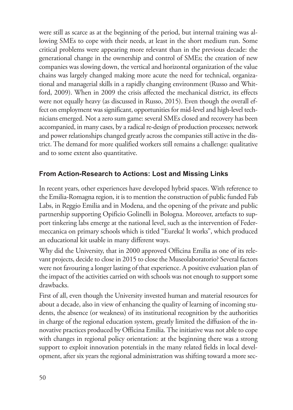were still as scarce as at the beginning of the period, but internal training was allowing SMEs to cope with their needs, at least in the short medium run. Some critical problems were appearing more relevant than in the previous decade: the generational change in the ownership and control of SMEs; the creation of new companies was slowing down, the vertical and horizontal organization of the value chains was largely changed making more acute the need for technical, organizational and managerial skills in a rapidly changing environment (Russo and Whitford, 2009). When in 2009 the crisis affected the mechanical district, its effects were not equally heavy (as discussed in Russo, 2015). Even though the overall effect on employment was significant, opportunities for mid-level and high-level technicians emerged. Not a zero sum game: several SMEs closed and recovery has been accompanied, in many cases, by a radical re-design of production processes; network and power relationships changed greatly across the companies still active in the district. The demand for more qualified workers still remains a challenge: qualitative and to some extent also quantitative.

# **From Action-Research to Actions: Lost and Missing Links**

In recent years, other experiences have developed hybrid spaces. With reference to the Emilia-Romagna region, it is to mention the construction of public funded Fab Labs, in Reggio Emilia and in Modena, and the opening of the private and public partnership supporting Opificio Golinelli in Bologna. Moreover, artefacts to support tinkering labs emerge at the national level, such as the intervention of Federmeccanica on primary schools which is titled "Eureka! It works", which produced an educational kit usable in many different ways.

Why did the University, that in 2000 approved Officina Emilia as one of its relevant projects, decide to close in 2015 to close the Museolaboratorio? Several factors were not favouring a longer lasting of that experience. A positive evaluation plan of the impact of the activities carried on with schools was not enough to support some drawbacks.

First of all, even though the University invested human and material resources for about a decade, also in view of enhancing the quality of learning of incoming students, the absence (or weakness) of its institutional recognition by the authorities in charge of the regional education system, greatly limited the diffusion of the innovative practices produced by Officina Emilia. The initiative was not able to cope with changes in regional policy orientation: at the beginning there was a strong support to exploit innovation potentials in the many related fields in local development, after six years the regional administration was shifting toward a more sec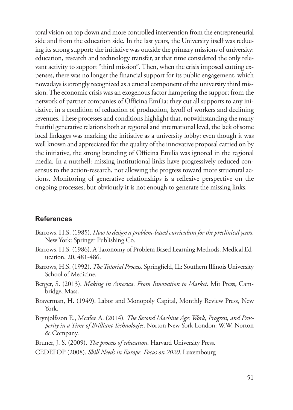toral vision on top down and more controlled intervention from the entrepreneurial side and from the education side. In the last years, the University itself was reducing its strong support: the initiative was outside the primary missions of university: education, research and technology transfer, at that time considered the only relevant activity to support "third mission". Then, when the crisis imposed cutting expenses, there was no longer the financial support for its public engagement, which nowadays is strongly recognized as a crucial component of the university third mission. The economic crisis was an exogenous factor hampering the support from the network of partner companies of Officina Emilia: they cut all supports to any initiative, in a condition of reduction of production, layoff of workers and declining revenues. These processes and conditions highlight that, notwithstanding the many fruitful generative relations both at regional and international level, the lack of some local linkages was marking the initiative as a university lobby: even though it was well known and appreciated for the quality of the innovative proposal carried on by the initiative, the strong branding of Officina Emilia was ignored in the regional media. In a nutshell: missing institutional links have progressively reduced consensus to the action-research, not allowing the progress toward more structural actions. Monitoring of generative relationships is a reflexive perspective on the ongoing processes, but obviously it is not enough to generate the missing links.

#### **References**

- Barrows, H.S. (1985). *How to design a problem-based curriculum for the preclinical years*. New York: Springer Publishing Co.
- Barrows, H.S. (1986). A Taxonomy of Problem Based Learning Methods. Medical Education, 20, 481-486.
- Barrows, H.S. (1992). *The Tutorial Process*. Springfield, IL: Southern Illinois University School of Medicine.
- Berger, S. (2013). *Making in America. From Innovation to Market*. Mit Press, Cambridge, Mass.
- Braverman, H. (1949). Labor and Monopoly Capital, Monthly Review Press, New York.
- Brynjolfsson E., Mcafee A. (2014). *The Second Machine Age: Work, Progress, and Prosperity in a Time of Brilliant Technologies*. Norton New York London: W.W. Norton & Company.
- Bruner, J. S. (2009). *The process of education*. Harvard University Press.
- CEDEFOP (2008). *Skill Needs in Europe. Focus on 2020*. Luxembourg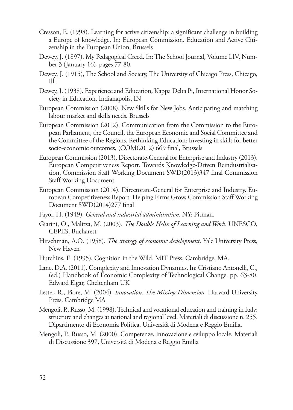- Cresson, E. (1998). Learning for active citizenship: a significant challenge in building a Europe of knowledge. In: European Commission. Education and Active Citizenship in the European Union, Brussels
- Dewey, J. (1897). My Pedagogical Creed. In: The School Journal, Volume LIV, Number 3 (January 16), pages 77-80.
- Dewey, J. (1915), The School and Society, The University of Chicago Press, Chicago, Ill.
- Dewey, J. (1938). Experience and Education, Kappa Delta Pi, International Honor Society in Education, Indianapolis, IN
- European Commission (2008). New Skills for New Jobs. Anticipating and matching labour market and skills needs. Brussels
- European Commission (2012). Communication from the Commission to the European Parliament, the Council, the European Economic and Social Committee and the Committee of the Regions. Rethinking Education: Investing in skills for better socio-economic outcomes, (COM(2012) 669 final, Brussels
- European Commission (2013). Directorate-General for Enterprise and Industry (2013). European Competitiveness Report. Towards Knowledge-Driven Reindustrialisation, Commission Staff Working Document SWD(2013)347 final Commission Staff Working Document
- European Commission (2014). Directorate-General for Enterprise and Industry. European Competitiveness Report. Helping Firms Grow, Commission Staff Working Document SWD(2014)277 final
- Fayol, H. (1949). *General and industrial administration*. NY: Pitman.
- Giarini, O., Malitza, M. (2003). *The Double Helix of Learning and Work*. UNESCO, CEPES, Bucharest
- Hirschman, A.O. (1958). *The strategy of economic development*. Yale University Press, New Haven
- Hutchins, E. (1995), Cognition in the Wild. MIT Press, Cambridge, MA.
- Lane, D.A. (2011). Complexity and Innovation Dynamics. In: Cristiano Antonelli, C., (ed.) Handbook of Economic Complexity of Technological Change. pp. 63-80. Edward Elgar, Cheltenham UK
- Lester, R., Piore, M. (2004). *Innovation: The Missing Dimension*. Harvard University Press, Cambridge MA
- Mengoli, P., Russo, M. (1998). Technical and vocational education and training in Italy: structure and changes at national and regional level. Materiali di discussione n. 255. Dipartimento di Economia Politica. Università di Modena e Reggio Emilia.
- Mengoli, P., Russo, M. (2000). Competenze, innovazione e sviluppo locale, Materiali di Discussione 397, Università di Modena e Reggio Emilia